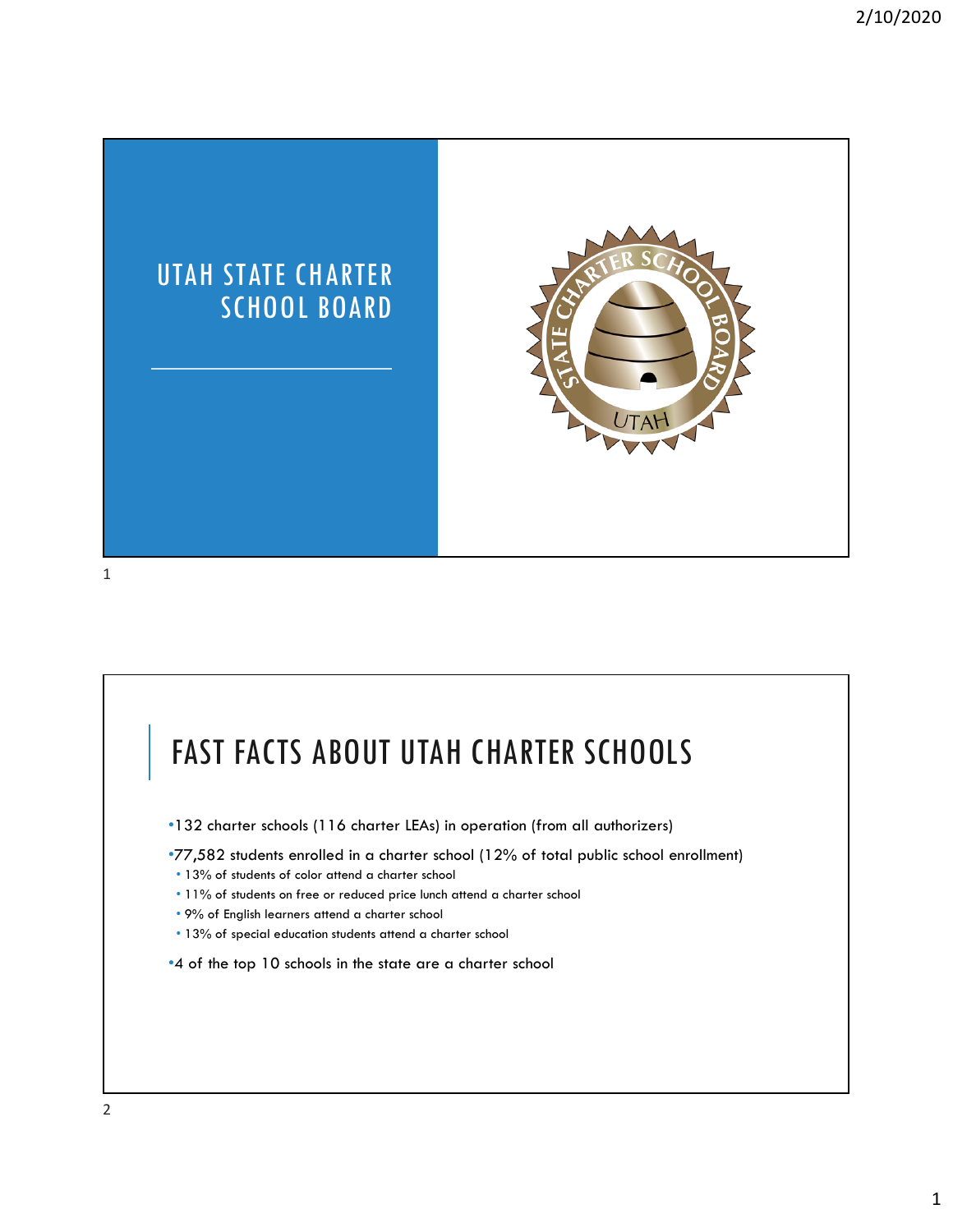

### FAST FACTS ABOUT UTAH CHARTER SCHOOLS •132 charter schools (116 charter LEAs) in operation (from all authorizers) •77,582 students enrolled in a charter school (12% of total public school enrollment) • 13% of students of color attend a charter school • 11% of students on free or reduced price lunch attend a charter school • 9% of English learners attend a charter school

• 13% of special education students attend a charter school

•4 of the top 10 schools in the state are a charter school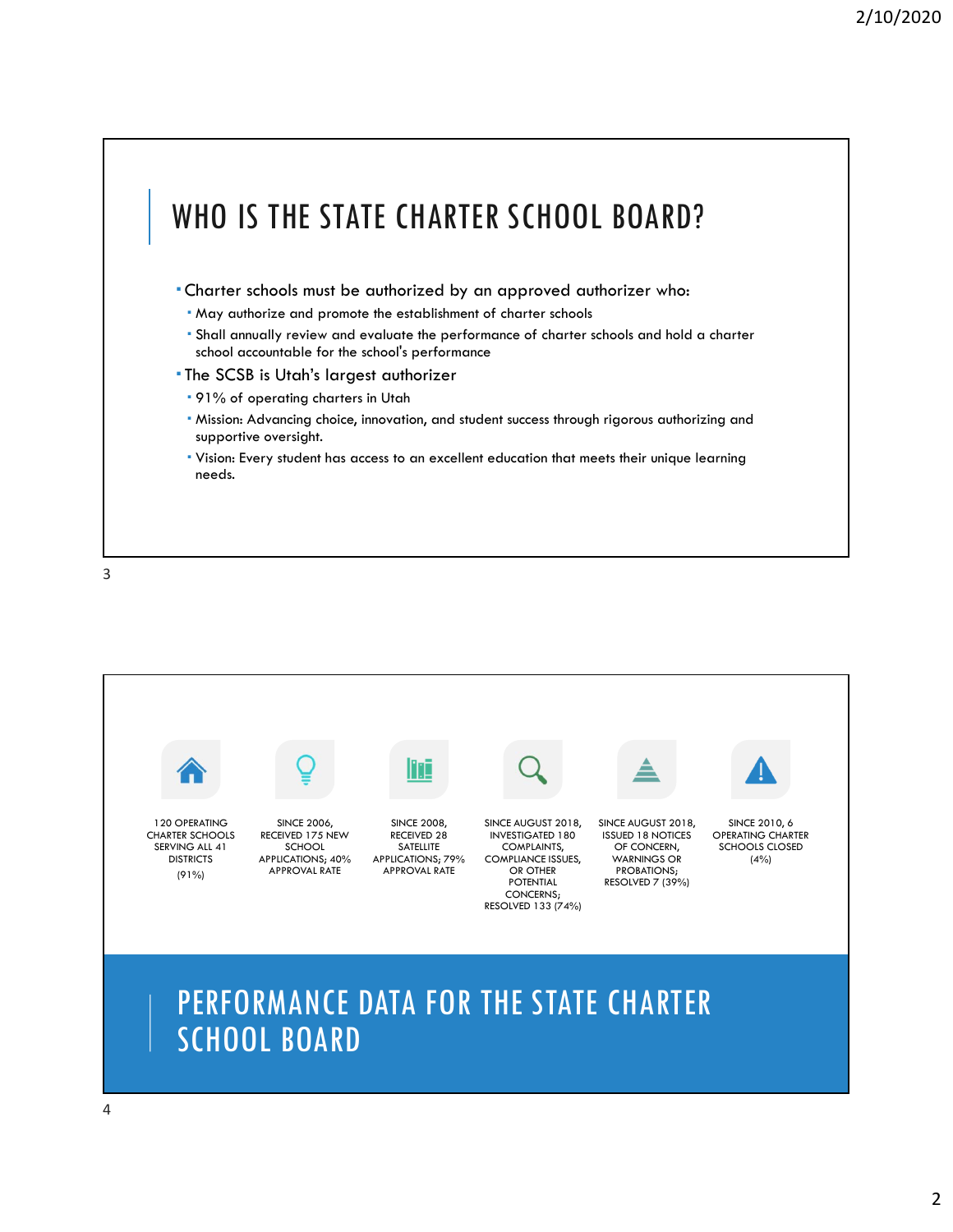

3



## PERFORMANCE DATA FOR THE STATE CHARTER SCHOOL BOARD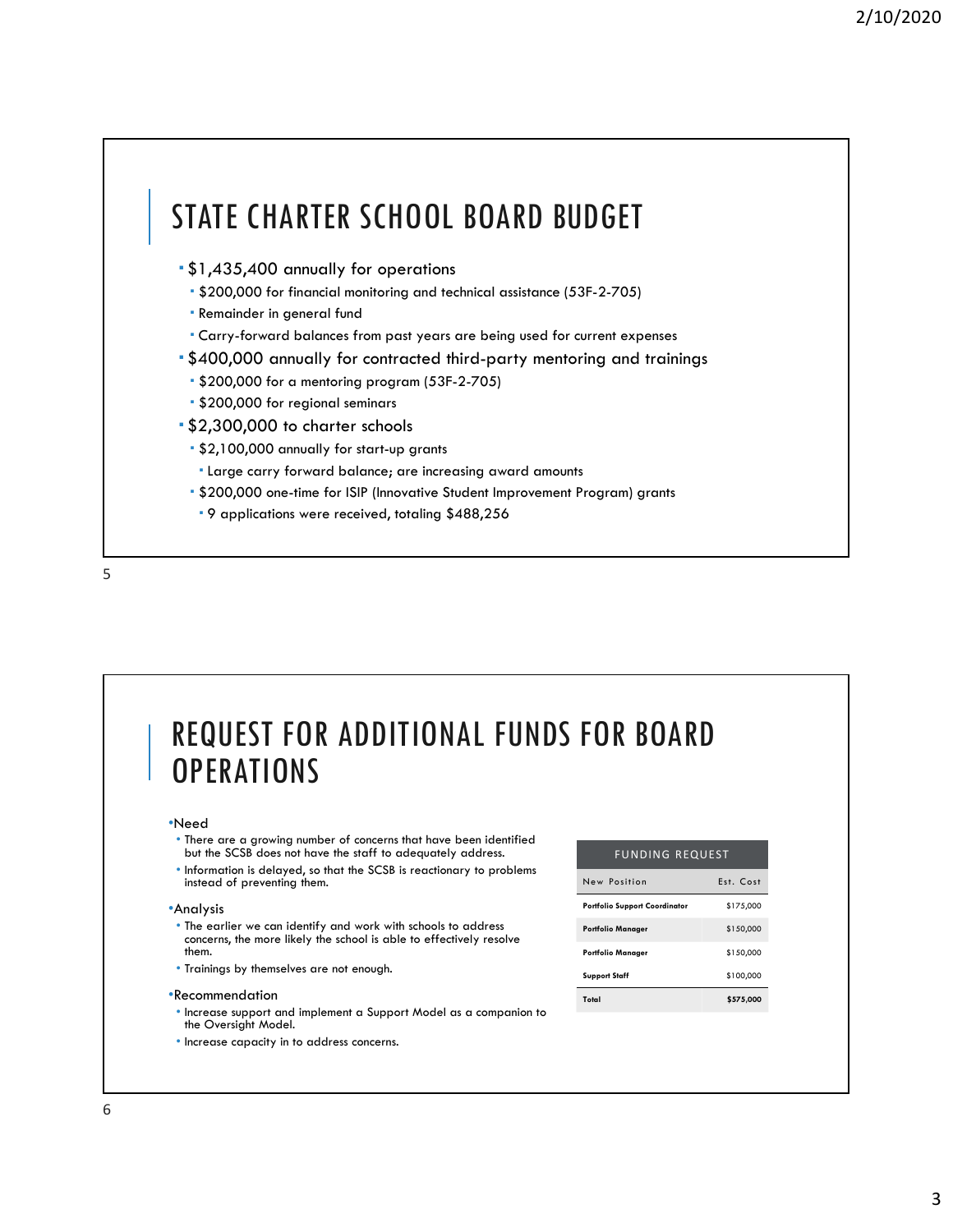## STATE CHARTER SCHOOL BOARD BUDGET

- \$1,435,400 annually for operations
	- \$200,000 for financial monitoring and technical assistance (53F-2-705)
	- Remainder in general fund
	- Carry-forward balances from past years are being used for current expenses
- \$400,000 annually for contracted third-party mentoring and trainings
	- \$200,000 for a mentoring program (53F-2-705)
	- \$200,000 for regional seminars
- \$2,300,000 to charter schools
	- \$2,100,000 annually for start-up grants
	- Large carry forward balance; are increasing award amounts
	- \$200,000 one-time for ISIP (Innovative Student Improvement Program) grants
	- 9 applications were received, totaling \$488,256

5

## REQUEST FOR ADDITIONAL FUNDS FOR BOARD **OPERATIONS**

#### •Need

- There are a growing number of concerns that have been identified but the SCSB does not have the staff to adequately address.
- Information is delayed, so that the SCSB is reactionary to problems instead of preventing them.

#### •Analysis

- The earlier we can identify and work with schools to address concerns, the more likely the school is able to effectively resolve them.
- Trainings by themselves are not enough.

#### •Recommendation

- Increase support and implement a Support Model as a companion to the Oversight Model.
- Increase capacity in to address concerns.

| <b>FUNDING REQUEST</b>               |           |
|--------------------------------------|-----------|
| New Position                         | Est. Cost |
| <b>Portfolio Support Coordinator</b> | \$175,000 |
| <b>Portfolio Manager</b>             | \$150,000 |
| <b>Portfolio Manager</b>             | \$150,000 |
| <b>Support Staff</b>                 | \$100,000 |
| Total                                | \$575,000 |